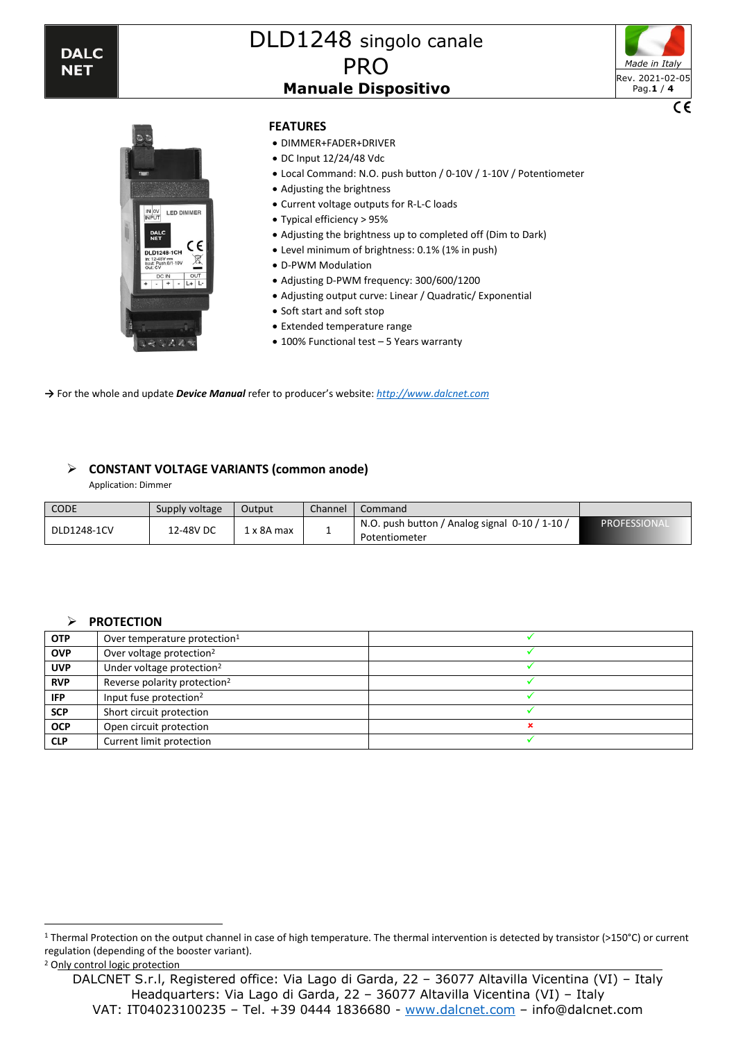

# DLD1248 singolo canale **PRO Manuale Dispositivo**





#### **FEATURES**

- DIMMER+FADER+DRIVER
- DC Input 12/24/48 Vdc
- Local Command: N.O. push button / 0-10V / 1-10V / Potentiometer
- Adjusting the brightness
- Current voltage outputs for R-L-C loads
- Typical efficiency > 95%
- Adjusting the brightness up to completed off (Dim to Dark)
- Level minimum of brightness: 0.1% (1% in push)
- D-PWM Modulation
- Adjusting D-PWM frequency: 300/600/1200
- Adjusting output curve: Linear / Quadratic/ Exponential
- Soft start and soft stop
- Extended temperature range
- 100% Functional test 5 Years warranty

**→** For the whole and update *Device Manual* refer to producer's website: *[http://www.dalcnet.com](http://www.dalcnet.com/)*

#### ➢ **CONSTANT VOLTAGE VARIANTS (common anode)**

Application: Dimmer

| <b>CODE</b> | Supply voltage | Output     | Channel | Command                                                         |             |
|-------------|----------------|------------|---------|-----------------------------------------------------------------|-------------|
| DLD1248-1CV | 12-48V DC      | l x 8A max |         | N.O. push button / Analog signal 0-10 / 1-10 /<br>Potentiometer | PROFESSIONA |

#### ➢ **PROTECTION**

| <b>OTP</b> | Over temperature protection <sup>1</sup> |  |
|------------|------------------------------------------|--|
| <b>OVP</b> | Over voltage protection <sup>2</sup>     |  |
| <b>UVP</b> | Under voltage protection <sup>2</sup>    |  |
| <b>RVP</b> | Reverse polarity protection <sup>2</sup> |  |
| IFP.       | Input fuse protection <sup>2</sup>       |  |
| <b>SCP</b> | Short circuit protection                 |  |
| <b>OCP</b> | Open circuit protection                  |  |
| <b>CLP</b> | Current limit protection                 |  |

<sup>1</sup> Thermal Protection on the output channel in case of high temperature. The thermal intervention is detected by transistor (>150°C) or current regulation (depending of the booster variant).

<sup>2</sup> Only control logic protection

DALCNET S.r.l, Registered office: Via Lago di Garda, 22 – 36077 Altavilla Vicentina (VI) – Italy Headquarters: Via Lago di Garda, 22 – 36077 Altavilla Vicentina (VI) – Italy VAT: IT04023100235 – Tel. +39 0444 1836680 - [www.dalcnet.com](http://www.dalcnet.com/) – info@dalcnet.com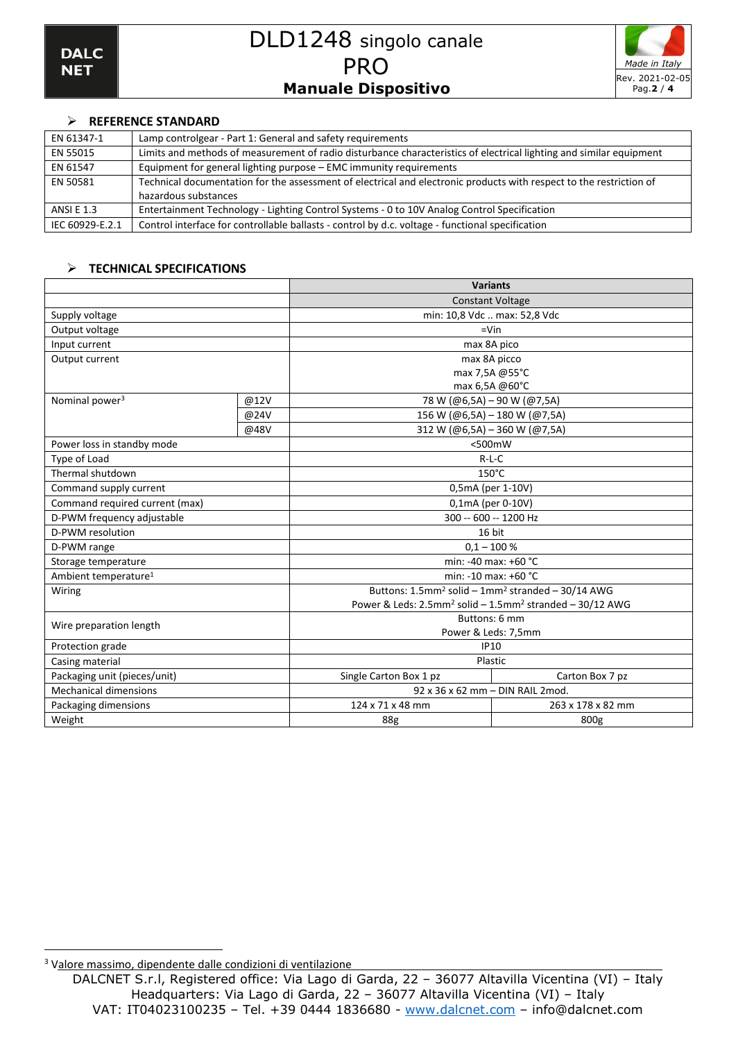

## ➢ **REFERENCE STANDARD**

| EN 61347-1        | Lamp controlgear - Part 1: General and safety requirements                                                          |
|-------------------|---------------------------------------------------------------------------------------------------------------------|
| EN 55015          | Limits and methods of measurement of radio disturbance characteristics of electrical lighting and similar equipment |
| EN 61547          | Equipment for general lighting purpose - EMC immunity requirements                                                  |
| EN 50581          | Technical documentation for the assessment of electrical and electronic products with respect to the restriction of |
|                   | hazardous substances                                                                                                |
| <b>ANSI E 1.3</b> | Entertainment Technology - Lighting Control Systems - 0 to 10V Analog Control Specification                         |
| IEC 60929-E.2.1   | Control interface for controllable ballasts - control by d.c. voltage - functional specification                    |

#### ➢ **TECHNICAL SPECIFICATIONS**

|                                  |      |                                                                                          | <b>Variants</b>                                                           |  |
|----------------------------------|------|------------------------------------------------------------------------------------------|---------------------------------------------------------------------------|--|
|                                  |      |                                                                                          | <b>Constant Voltage</b>                                                   |  |
| Supply voltage                   |      |                                                                                          | min: 10,8 Vdc  max: 52,8 Vdc                                              |  |
| Output voltage                   |      |                                                                                          | $=$ Vin                                                                   |  |
| Input current                    |      |                                                                                          | max 8A pico                                                               |  |
| Output current                   |      | max 8A picco                                                                             |                                                                           |  |
|                                  |      | max 7,5A @55°C                                                                           |                                                                           |  |
|                                  |      | max 6,5A @60°C                                                                           |                                                                           |  |
| Nominal power <sup>3</sup>       | @12V |                                                                                          | 78 W (@6,5A) - 90 W (@7,5A)                                               |  |
|                                  | @24V |                                                                                          | 156 W (@6,5A) - 180 W (@7,5A)                                             |  |
|                                  | @48V |                                                                                          | 312 W (@6,5A) - 360 W (@7,5A)                                             |  |
| Power loss in standby mode       |      |                                                                                          | $<$ 500 $m$ W                                                             |  |
| Type of Load                     |      | $R-L-C$                                                                                  |                                                                           |  |
| Thermal shutdown                 |      |                                                                                          | 150°C                                                                     |  |
| Command supply current           |      | 0,5mA (per 1-10V)                                                                        |                                                                           |  |
| Command required current (max)   |      | 0,1mA (per 0-10V)                                                                        |                                                                           |  |
| D-PWM frequency adjustable       |      | 300 -- 600 -- 1200 Hz                                                                    |                                                                           |  |
| D-PWM resolution                 |      | 16 bit                                                                                   |                                                                           |  |
| D-PWM range                      |      | $0.1 - 100 %$                                                                            |                                                                           |  |
| Storage temperature              |      | min: -40 max: +60 °C                                                                     |                                                                           |  |
| Ambient temperature <sup>1</sup> |      |                                                                                          | min: -10 max: +60 °C                                                      |  |
| Wiring                           |      |                                                                                          | Buttons: 1.5mm <sup>2</sup> solid - 1mm <sup>2</sup> stranded - 30/14 AWG |  |
|                                  |      | Power & Leds: $2.5$ mm <sup>2</sup> solid – $1.5$ mm <sup>2</sup> stranded – $30/12$ AWG |                                                                           |  |
| Wire preparation length          |      | Buttons: 6 mm                                                                            |                                                                           |  |
|                                  |      | Power & Leds: 7,5mm                                                                      |                                                                           |  |
| Protection grade                 |      | <b>IP10</b>                                                                              |                                                                           |  |
| Casing material                  |      | Plastic                                                                                  |                                                                           |  |
| Packaging unit (pieces/unit)     |      | Single Carton Box 1 pz                                                                   | Carton Box 7 pz                                                           |  |
| <b>Mechanical dimensions</b>     |      | 92 x 36 x 62 mm - DIN RAIL 2 mod.                                                        |                                                                           |  |
| Packaging dimensions             |      | 124 x 71 x 48 mm                                                                         | 263 x 178 x 82 mm                                                         |  |
| Weight                           |      | <b>88g</b>                                                                               | 800g                                                                      |  |

<sup>3</sup> Valore massimo, dipendente dalle condizioni di ventilazione

DALCNET S.r.l, Registered office: Via Lago di Garda, 22 – 36077 Altavilla Vicentina (VI) – Italy Headquarters: Via Lago di Garda, 22 – 36077 Altavilla Vicentina (VI) – Italy VAT: IT04023100235 – Tel. +39 0444 1836680 - [www.dalcnet.com](http://www.dalcnet.com/) – info@dalcnet.com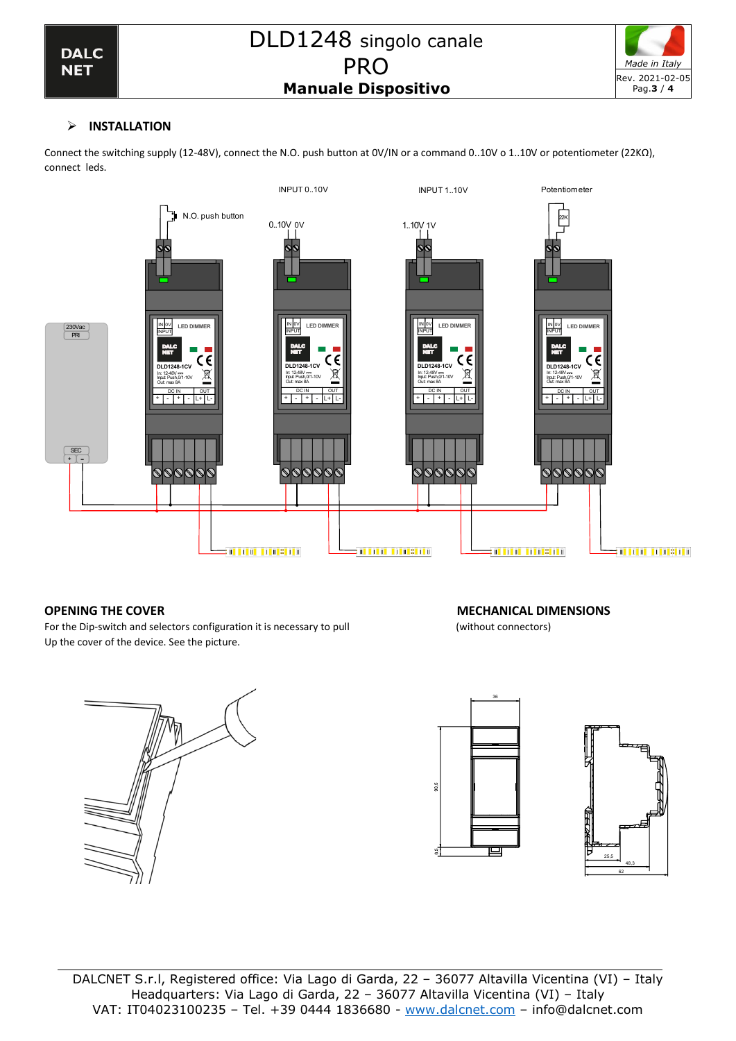

# ➢ **INSTALLATION**

Connect the switching supply (12-48V), connect the N.O. push button at 0V/IN or a command 0..10V o 1..10V or potentiometer (22KΩ), connect leds.



For the Dip-switch and selectors configuration it is necessary to pull (without connectors) Up the cover of the device. See the picture.

# **OPENING THE COVER SERVICE SERVICES AND RESIDENT CONFIDENTIAL DIMENSIONS**